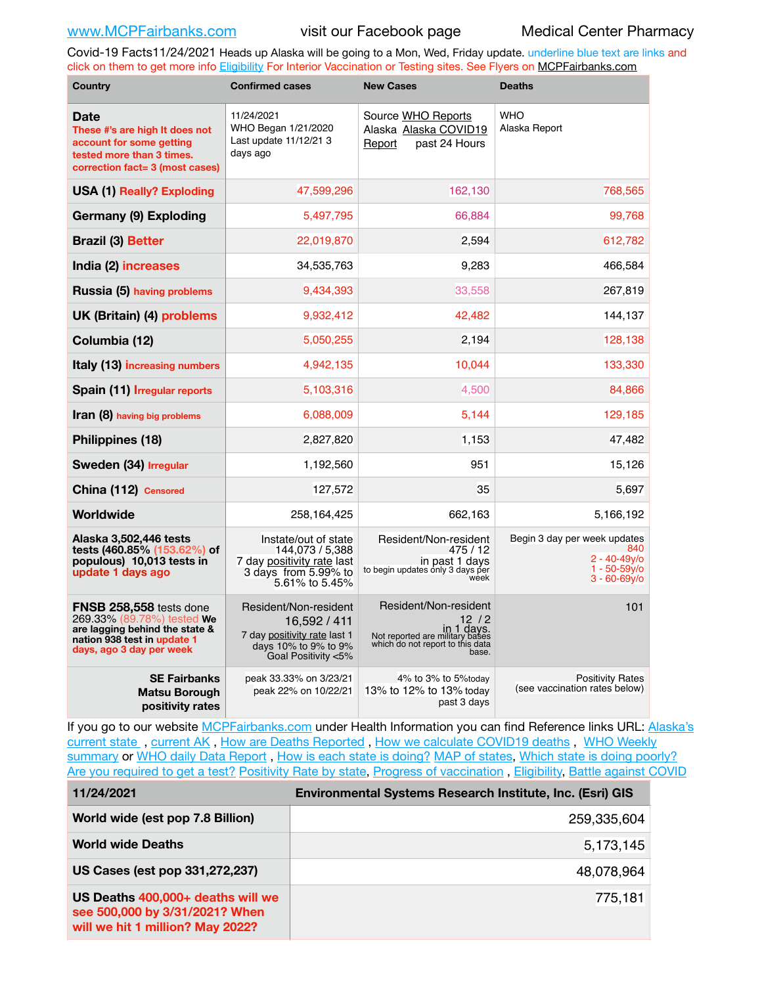Covid-19 Facts11/24/2021 Heads up Alaska will be going to a Mon, Wed, Friday update. underline blue text are links and click on them to get more info [Eligibility](http://dhss.alaska.gov/dph/Epi/id/Pages/COVID-19/VaccineAvailability.aspx) For Interior Vaccination or Testing sites. See Flyers on [MCPFairbanks.com](http://www.MCPFairbanks.com)

| <b>Country</b>                                                                                                                                            | <b>Confirmed cases</b>                                                                                               | <b>New Cases</b>                                                                                                              | <b>Deaths</b>                                                                                 |  |
|-----------------------------------------------------------------------------------------------------------------------------------------------------------|----------------------------------------------------------------------------------------------------------------------|-------------------------------------------------------------------------------------------------------------------------------|-----------------------------------------------------------------------------------------------|--|
| <b>Date</b><br>These #'s are high It does not<br>account for some getting<br>tested more than 3 times.<br>correction fact= 3 (most cases)                 | 11/24/2021<br>WHO Began 1/21/2020<br>Last update 11/12/21 3<br>days ago                                              | Source WHO Reports<br>Alaska Alaska COVID19<br>past 24 Hours<br>Report                                                        | <b>WHO</b><br>Alaska Report                                                                   |  |
| <b>USA (1) Really? Exploding</b>                                                                                                                          | 47,599,296                                                                                                           | 162.130                                                                                                                       | 768,565                                                                                       |  |
| Germany (9) Exploding                                                                                                                                     | 5,497,795                                                                                                            | 66,884                                                                                                                        | 99,768                                                                                        |  |
| <b>Brazil (3) Better</b>                                                                                                                                  | 22,019,870                                                                                                           | 2,594                                                                                                                         | 612,782                                                                                       |  |
| India (2) increases                                                                                                                                       | 34,535,763                                                                                                           | 9,283                                                                                                                         | 466,584                                                                                       |  |
| Russia (5) having problems                                                                                                                                | 9,434,393                                                                                                            | 33,558                                                                                                                        | 267,819                                                                                       |  |
| UK (Britain) (4) problems                                                                                                                                 | 9,932,412                                                                                                            | 42,482                                                                                                                        | 144,137                                                                                       |  |
| Columbia (12)                                                                                                                                             | 5,050,255                                                                                                            | 2,194                                                                                                                         | 128,138                                                                                       |  |
| Italy (13) increasing numbers                                                                                                                             | 4,942,135                                                                                                            | 10,044                                                                                                                        | 133,330                                                                                       |  |
| Spain (11) Irregular reports                                                                                                                              | 5,103,316                                                                                                            | 4,500                                                                                                                         | 84,866                                                                                        |  |
| <b>Iran (8)</b> having big problems                                                                                                                       | 6,088,009                                                                                                            | 5,144                                                                                                                         | 129,185                                                                                       |  |
| Philippines (18)                                                                                                                                          | 2,827,820                                                                                                            | 1,153                                                                                                                         | 47,482                                                                                        |  |
| Sweden (34) Irregular                                                                                                                                     | 1,192,560                                                                                                            | 951                                                                                                                           | 15,126                                                                                        |  |
| China (112) Censored                                                                                                                                      | 127,572                                                                                                              | 35                                                                                                                            | 5,697                                                                                         |  |
| Worldwide                                                                                                                                                 | 258,164,425                                                                                                          | 662,163                                                                                                                       | 5,166,192                                                                                     |  |
| Alaska 3,502,446 tests<br>tests (460.85% (153.62%) of<br>populous) 10,013 tests in<br>update 1 days ago                                                   | Instate/out of state<br>144,073 / 5,388<br>7 day positivity rate last<br>3 days from 5.99% to<br>5.61% to 5.45%      | Resident/Non-resident<br>475 / 12<br>in past 1 days<br>to begin updates only 3 days per<br>week                               | Begin 3 day per week updates<br>840<br>$2 - 40 - 49y/0$<br>$1 - 50 - 59v$<br>$3 - 60 - 69y$ o |  |
| <b>FNSB 258,558 tests done</b><br>269.33% (89.78%) tested We<br>are lagging behind the state &<br>nation 938 test in update 1<br>days, ago 3 day per week | Resident/Non-resident<br>16,592 / 411<br>7 day positivity rate last 1<br>days 10% to 9% to 9%<br>Goal Positivity <5% | Resident/Non-resident<br>12 / 2<br>in 1 days.<br>Not reported are military bases<br>which do not report to this data<br>base. | 101                                                                                           |  |
| <b>SE Fairbanks</b><br><b>Matsu Borough</b><br>positivity rates                                                                                           | peak 33.33% on 3/23/21<br>peak 22% on 10/22/21                                                                       | 4% to 3% to 5%today<br>13% to 12% to 13% today<br>past 3 days                                                                 | <b>Positivity Rates</b><br>(see vaccination rates below)                                      |  |

If you go to our website [MCPFairbanks.com](http://www.MCPFairbanks.com) under Health Information you can find Reference links URL: Alaska's current state, current AK, [How are Deaths Reported](http://dhss.alaska.gov/dph/Epi/id/Pages/COVID-19/deathcounts.aspx), [How we calculate COVID19 deaths](https://coronavirus-response-alaska-dhss.hub.arcgis.com/search?collection=Document&groupIds=41ccb3344ebc4bd682c74073eba21f42), WHO Weekly [summary](http://www.who.int) or [WHO daily Data Report](https://covid19.who.int/table), [How is each state is doing?](https://www.msn.com/en-us/news/us/state-by-state-coronavirus-news/ar-BB13E1PX?fbclid=IwAR0_OBJH7lSyTN3ug_MsOeFnNgB1orTa9OBgilKJ7dhnwlVvHEsptuKkj1c) [MAP of states,](https://www.nationalgeographic.com/science/graphics/graphic-tracking-coronavirus-infections-us?cmpid=org=ngp::mc=crm-email::src=ngp::cmp=editorial::add=SpecialEdition_20210305&rid=B9A6DF5992658E8E35CE023113CFEA4C) [Which state is doing poorly?](https://bestlifeonline.com/covid-outbreak-your-state/?utm_source=nsltr&utm_medium=email&utm_content=covid-outbreak-your-state&utm_campaign=launch) [Are you required to get a test?](http://dhss.alaska.gov/dph/Epi/id/SiteAssets/Pages/HumanCoV/Whattodoafteryourtest.pdf) [Positivity Rate by state](https://coronavirus.jhu.edu/testing/individual-states/alaska), Progress of vaccination, [Eligibility,](http://dhss.alaska.gov/dph/Epi/id/Pages/COVID-19/VaccineAvailability.aspx) [Battle against COVID](https://www.nationalgeographic.com/science/graphics/graphic-tracking-coronavirus-infections-us?cmpid=org=ngp::mc=crm-email::src=ngp::cmp=editorial::add=SpecialEdition_20210219&rid=B9A6DF5992658E8E35CE023113CFEA4C)

| 11/24/2021                                                                                              | Environmental Systems Research Institute, Inc. (Esri) GIS |
|---------------------------------------------------------------------------------------------------------|-----------------------------------------------------------|
| World wide (est pop 7.8 Billion)                                                                        | 259,335,604                                               |
| <b>World wide Deaths</b>                                                                                | 5,173,145                                                 |
| US Cases (est pop 331,272,237)                                                                          | 48,078,964                                                |
| US Deaths 400,000+ deaths will we<br>see 500,000 by 3/31/2021? When<br>will we hit 1 million? May 2022? | 775,181                                                   |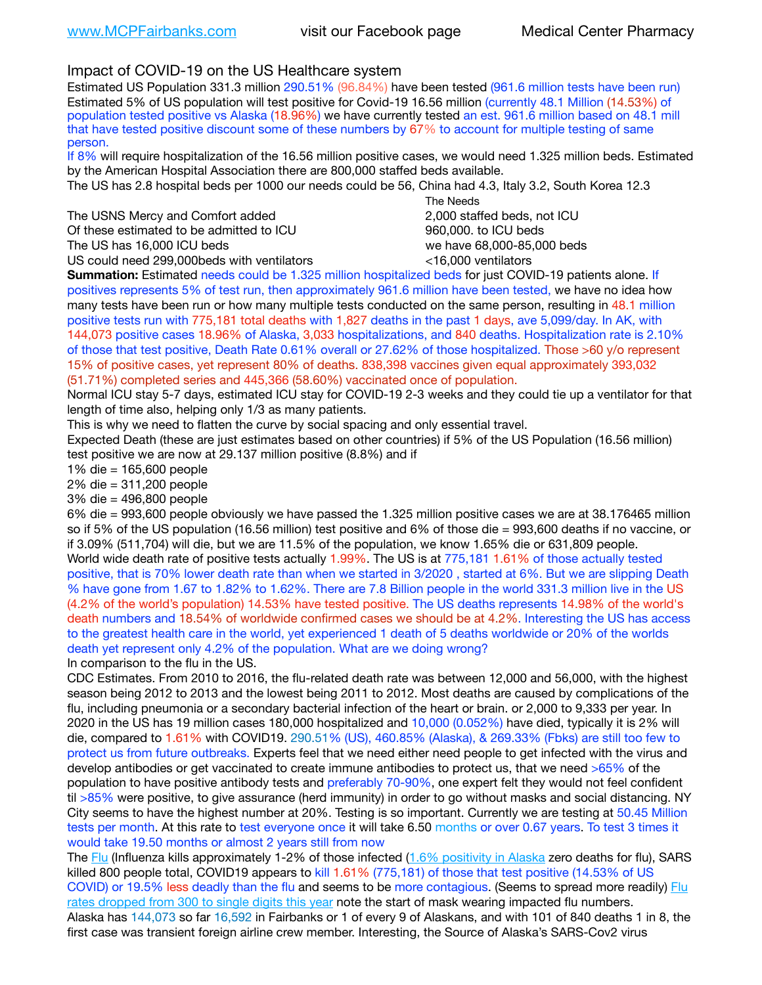## Impact of COVID-19 on the US Healthcare system

Estimated US Population 331.3 million 290.51% (96.84%) have been tested (961.6 million tests have been run) Estimated 5% of US population will test positive for Covid-19 16.56 million (currently 48.1 Million (14.53%) of population tested positive vs Alaska (18.96%) we have currently tested an est. 961.6 million based on 48.1 mill that have tested positive discount some of these numbers by 67% to account for multiple testing of same person.

If 8% will require hospitalization of the 16.56 million positive cases, we would need 1.325 million beds. Estimated by the American Hospital Association there are 800,000 staffed beds available.

The US has 2.8 hospital beds per 1000 our needs could be 56, China had 4.3, Italy 3.2, South Korea 12.3

The USNS Mercy and Comfort added 2,000 staffed beds, not ICU Of these estimated to be admitted to ICU **beds** and the set of the set of the 960,000, to ICU beds The US has 16,000 ICU beds we have 68,000-85,000 beds

 The Needs US could need 299,000 beds with ventilators  $\leq$ 16,000 ventilators

**Summation:** Estimated needs could be 1.325 million hospitalized beds for just COVID-19 patients alone. If positives represents 5% of test run, then approximately 961.6 million have been tested, we have no idea how many tests have been run or how many multiple tests conducted on the same person, resulting in 48.1 million positive tests run with 775,181 total deaths with 1,827 deaths in the past 1 days, ave 5,099/day. In AK, with 144,073 positive cases 18.96% of Alaska, 3,033 hospitalizations, and 840 deaths. Hospitalization rate is 2.10% of those that test positive, Death Rate 0.61% overall or 27.62% of those hospitalized. Those >60 y/o represent 15% of positive cases, yet represent 80% of deaths. 838,398 vaccines given equal approximately 393,032 (51.71%) completed series and 445,366 (58.60%) vaccinated once of population.

Normal ICU stay 5-7 days, estimated ICU stay for COVID-19 2-3 weeks and they could tie up a ventilator for that length of time also, helping only 1/3 as many patients.

This is why we need to flatten the curve by social spacing and only essential travel.

Expected Death (these are just estimates based on other countries) if 5% of the US Population (16.56 million) test positive we are now at 29.137 million positive (8.8%) and if

1% die = 165,600 people

2% die = 311,200 people

3% die = 496,800 people

6% die = 993,600 people obviously we have passed the 1.325 million positive cases we are at 38.176465 million so if 5% of the US population (16.56 million) test positive and 6% of those die = 993,600 deaths if no vaccine, or if 3.09% (511,704) will die, but we are 11.5% of the population, we know 1.65% die or 631,809 people. World wide death rate of positive tests actually 1.99%. The US is at 775,181 1.61% of those actually tested positive, that is 70% lower death rate than when we started in 3/2020 , started at 6%. But we are slipping Death % have gone from 1.67 to 1.82% to 1.62%. There are 7.8 Billion people in the world 331.3 million live in the US (4.2% of the world's population) 14.53% have tested positive. The US deaths represents 14.98% of the world's death numbers and 18.54% of worldwide confirmed cases we should be at 4.2%. Interesting the US has access to the greatest health care in the world, yet experienced 1 death of 5 deaths worldwide or 20% of the worlds death yet represent only 4.2% of the population. What are we doing wrong?

In comparison to the flu in the US.

CDC Estimates. From 2010 to 2016, the flu-related death rate was between 12,000 and 56,000, with the highest season being 2012 to 2013 and the lowest being 2011 to 2012. Most deaths are caused by complications of the flu, including pneumonia or a secondary bacterial infection of the heart or brain. or 2,000 to 9,333 per year. In 2020 in the US has 19 million cases 180,000 hospitalized and 10,000 (0.052%) have died, typically it is 2% will die, compared to 1.61% with COVID19. 290.51% (US), 460.85% (Alaska), & 269.33% (Fbks) are still too few to protect us from future outbreaks. Experts feel that we need either need people to get infected with the virus and develop antibodies or get vaccinated to create immune antibodies to protect us, that we need >65% of the population to have positive antibody tests and preferably 70-90%, one expert felt they would not feel confident til >85% were positive, to give assurance (herd immunity) in order to go without masks and social distancing. NY City seems to have the highest number at 20%. Testing is so important. Currently we are testing at 50.45 Million tests per month. At this rate to test everyone once it will take 6.50 months or over 0.67 years. To test 3 times it would take 19.50 months or almost 2 years still from now

The [Flu](https://lnks.gd/l/eyJhbGciOiJIUzI1NiJ9.eyJidWxsZXRpbl9saW5rX2lkIjoxMDMsInVyaSI6ImJwMjpjbGljayIsImJ1bGxldGluX2lkIjoiMjAyMTAyMjYuMzYwNDA3NTEiLCJ1cmwiOiJodHRwczovL3d3dy5jZGMuZ292L2ZsdS93ZWVrbHkvb3ZlcnZpZXcuaHRtIn0.ePMA_hsZ-pTnhWSyg1gHvHWYTu2XceVOt0JejxvP1WE/s/500544915/br/98428119752-l) (Influenza kills approximately 1-2% of those infected ([1.6% positivity in Alaska](http://dhss.alaska.gov/dph/Epi/id/SiteAssets/Pages/influenza/trends/Snapshot.pdf) zero deaths for flu), SARS killed 800 people total, COVID19 appears to kill 1.61% (775,181) of those that test positive (14.53% of US COVID) or 19.5% less deadly than the flu and seems to be more contagious. (Seems to spread more readily) Flu [rates dropped from 300 to single digits this year](https://lnks.gd/l/eyJhbGciOiJIUzI1NiJ9.eyJidWxsZXRpbl9saW5rX2lkIjoxMDEsInVyaSI6ImJwMjpjbGljayIsImJ1bGxldGluX2lkIjoiMjAyMTAyMjYuMzYwNDA3NTEiLCJ1cmwiOiJodHRwOi8vZGhzcy5hbGFza2EuZ292L2RwaC9FcGkvaWQvUGFnZXMvaW5mbHVlbnphL2ZsdWluZm8uYXNweCJ9.oOe3nt2fww6XpsNhb4FZfmtPfPa-irGaldpkURBJhSo/s/500544915/br/98428119752-l) note the start of mask wearing impacted flu numbers. Alaska has 144,073 so far 16,592 in Fairbanks or 1 of every 9 of Alaskans, and with 101 of 840 deaths 1 in 8, the first case was transient foreign airline crew member. Interesting, the Source of Alaska's SARS-Cov2 virus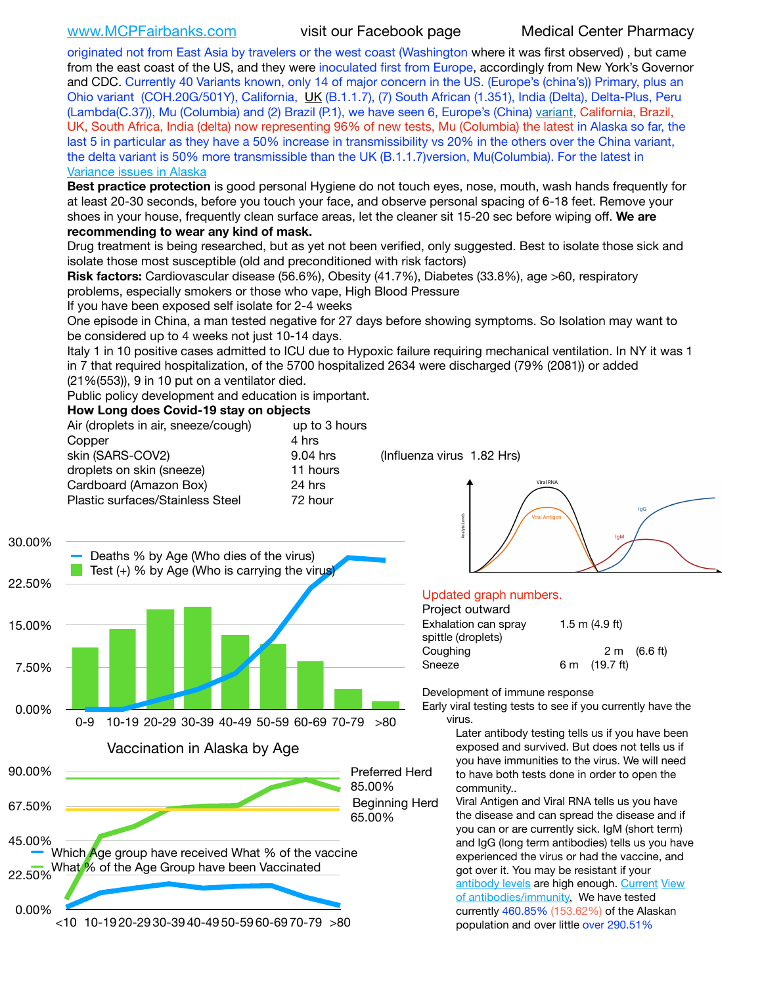[www.MCPFairbanks.com](http://www.MCPFairbanks.com) visit our Facebook page Medical Center Pharmacy

originated not from East Asia by travelers or the west coast (Washington where it was first observed) , but came from the east coast of the US, and they were inoculated first from Europe, accordingly from New York's Governor and CDC. Currently 40 Variants known, only 14 of major concern in the US. (Europe's (china's)) Primary, plus an Ohio variant (COH.20G/501Y), California, [UK](https://www.cdc.gov/coronavirus/2019-ncov/transmission/variant-cases.html) (B.1.1.7), (7) South African (1.351), India (Delta), Delta-Plus, Peru (Lambda(C.37)), Mu (Columbia) and (2) Brazil (P.1), we have seen 6, Europe's (China) [variant,](https://www.webmd.com/lung/news/20210318/cdc-who-create-threat-levels-for-covid-variants?ecd=wnl_cvd_031921&ctr=wnl-cvd-031921&mb=kYbf7DsHb7YGjh/1RUkcAW0T6iorImAU1TDZh18RYs0=_Support_titleLink_2) California, Brazil, UK, South Africa, India (delta) now representing 96% of new tests, Mu (Columbia) the latest in Alaska so far, the last 5 in particular as they have a 50% increase in transmissibility vs 20% in the others over the China variant, the delta variant is 50% more transmissible than the UK (B.1.1.7)version, Mu(Columbia). For the latest in [Variance issues in Alaska](https://akvariants.github.io)

**Best practice protection** is good personal Hygiene do not touch eyes, nose, mouth, wash hands frequently for at least 20-30 seconds, before you touch your face, and observe personal spacing of 6-18 feet. Remove your shoes in your house, frequently clean surface areas, let the cleaner sit 15-20 sec before wiping off. **We are recommending to wear any kind of mask.**

Drug treatment is being researched, but as yet not been verified, only suggested. Best to isolate those sick and isolate those most susceptible (old and preconditioned with risk factors)

**Risk factors:** Cardiovascular disease (56.6%), Obesity (41.7%), Diabetes (33.8%), age >60, respiratory problems, especially smokers or those who vape, High Blood Pressure

If you have been exposed self isolate for 2-4 weeks

One episode in China, a man tested negative for 27 days before showing symptoms. So Isolation may want to be considered up to 4 weeks not just 10-14 days.

Italy 1 in 10 positive cases admitted to ICU due to Hypoxic failure requiring mechanical ventilation. In NY it was 1 in 7 that required hospitalization, of the 5700 hospitalized 2634 were discharged (79% (2081)) or added (21%(553)), 9 in 10 put on a ventilator died.

Public policy development and education is important.

### **How Long does Covid-19 stay on objects**

| Air (droplets in air, sneeze/cough) | up to 3 hours |
|-------------------------------------|---------------|
| Copper                              | 4 hrs         |
| skin (SARS-COV2)                    | 9.04 hrs      |
| droplets on skin (sneeze)           | 11 hours      |
| Cardboard (Amazon Box)              | 24 hrs        |
| Plastic surfaces/Stainless Steel    | 72 hour       |
|                                     |               |

 $(Influenza virus 1.82 Hrs)$ 





### Updated graph numbers.

| Project outward      |                  |                        |
|----------------------|------------------|------------------------|
| Exhalation can spray | 1.5 m $(4.9$ ft) |                        |
| spittle (droplets)   |                  |                        |
| Coughing             |                  | $2 \text{ m}$ (6.6 ft) |
| Sneeze               | 6 m (19.7 ft)    |                        |
|                      |                  |                        |

Development of immune response

Early viral testing tests to see if you currently have the virus.

> Later antibody testing tells us if you have been exposed and survived. But does not tells us if you have immunities to the virus. We will need to have both tests done in order to open the community..

Viral Antigen and Viral RNA tells us you have the disease and can spread the disease and if you can or are currently sick. IgM (short term) and IgG (long term antibodies) tells us you have experienced the virus or had the vaccine, and got over it. You may be resistant if your [antibody levels](https://www.cdc.gov/coronavirus/2019-ncov/lab/resources/antibody-tests.html) are high enough. [Current](https://l.facebook.com/l.php?u=https://www.itv.com/news/2020-10-26/covid-19-antibody-levels-reduce-over-time-study-finds?fbclid=IwAR3Dapzh1qIH1EIOdUQI2y8THf7jfA4KBCaJz8Qg-8xe1YsrR4nsAHDIXSY&h=AT30nut8pkqp0heVuz5W2rT2WFFm-2Ab52BsJxZZCNlGsX58IpPkuVEPULbIUV_M16MAukx1Kwb657DPXxsgDN1rpOQ4gqBtQsmVYiWpnHPJo2RQsU6CPMd14lgLnQnFWxfVi6zvmw&__tn__=-UK-R&c%5B0%5D=AT1GaRAfR_nGAyqcn7TI1-PpvqOqEKXHnz6TDWvRStMnOSH7boQDvTiwTOc6VId9UES6LKiOmm2m88wKCoolkJyOFvakt2Z1Mw8toYWGGoWW23r0MNVBl7cYJXB_UOvGklNHaNnaNr1_S7NhT3BSykNOBg) [View](https://www.livescience.com/antibodies.html)  [of antibodies/immunity](https://www.livescience.com/antibodies.html)[.](https://www.itv.com/news/2020-10-26/covid-19-antibody-levels-reduce-over-time-study-finds) We have tested currently 460.85% (153.62%) of the Alaskan population and over little over 290.51%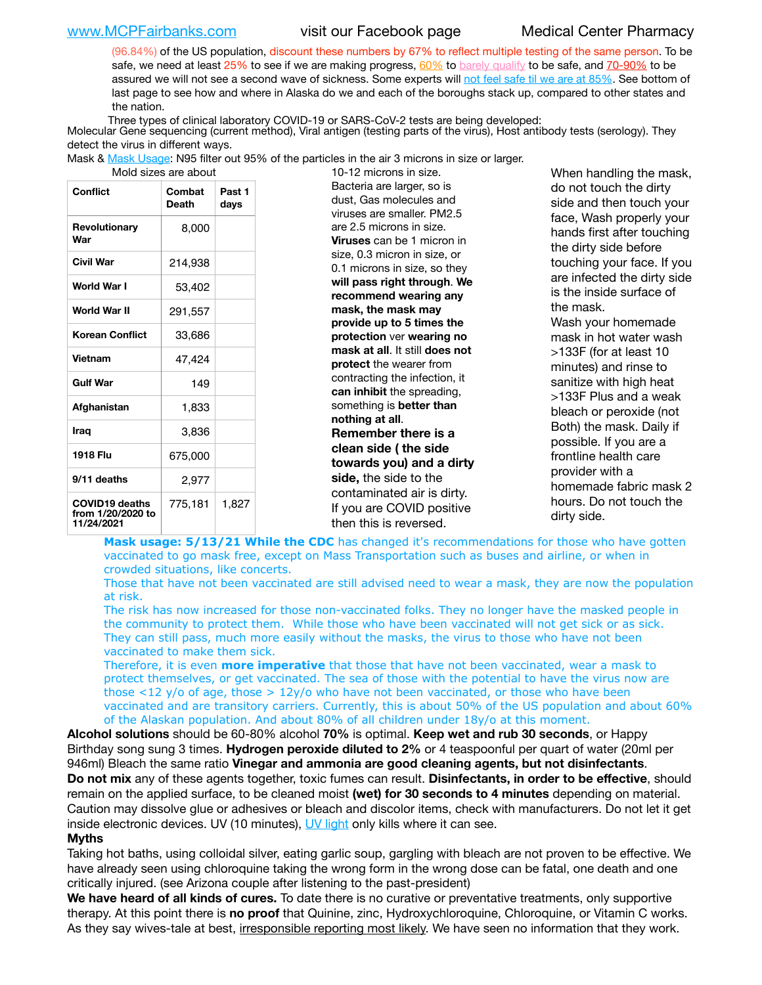[www.MCPFairbanks.com](http://www.MCPFairbanks.com) visit our Facebook page Medical Center Pharmacy

(96.84%) of the US population, discount these numbers by 67% to reflect multiple testing of the same person. To be safe, we need at least 25% to see if we are making progress, [60%](https://www.jhsph.edu/covid-19/articles/achieving-herd-immunity-with-covid19.html) to [barely qualify](https://www.nature.com/articles/d41586-020-02948-4) to be safe, and [70-90%](https://www.mayoclinic.org/herd-immunity-and-coronavirus/art-20486808) to be assured we will not see a second wave of sickness. Some experts will [not feel safe til we are at 85%](https://www.bannerhealth.com/healthcareblog/teach-me/what-is-herd-immunity). See bottom of last page to see how and where in Alaska do we and each of the boroughs stack up, compared to other states and the nation.

Three types of clinical laboratory COVID-19 or SARS-CoV-2 tests are being developed:

 Molecular Gene sequencing (current method), Viral antigen (testing parts of the virus), Host antibody tests (serology). They detect the virus in different ways.

Mask & <u>Mask Usage</u>: N95 filter out 95% of the particles in the air 3 microns in size or larger.<br>19.19 microns in size

|                                                          | iviolu sizes are about |                |  |  |  |
|----------------------------------------------------------|------------------------|----------------|--|--|--|
| <b>Conflict</b>                                          | Combat<br><b>Death</b> | Past 1<br>days |  |  |  |
| Revolutionary<br>War                                     | 8,000                  |                |  |  |  |
| Civil War                                                | 214,938                |                |  |  |  |
| World War I                                              | 53,402                 |                |  |  |  |
| World War II                                             | 291,557                |                |  |  |  |
| <b>Korean Conflict</b>                                   | 33,686                 |                |  |  |  |
| <b>Vietnam</b>                                           | 47,424                 |                |  |  |  |
| <b>Gulf War</b>                                          | 149                    |                |  |  |  |
| Afghanistan                                              | 1,833                  |                |  |  |  |
| Iraq                                                     | 3,836                  |                |  |  |  |
| 1918 Flu                                                 | 675,000                |                |  |  |  |
| 9/11 deaths                                              | 2,977                  |                |  |  |  |
| <b>COVID19 deaths</b><br>from 1/20/2020 to<br>11/24/2021 | 775,181                | 1,827          |  |  |  |

10-12 microns in size. Bacteria are larger, so is dust, Gas molecules and viruses are smaller. PM2.5 are 2.5 microns in size. **Viruses** can be 1 micron in size, 0.3 micron in size, or 0.1 microns in size, so they **will pass right through**. **We recommend wearing any mask, the mask may provide up to 5 times the protection** ver **wearing no mask at all**. It still **does not protect** the wearer from contracting the infection, it **can inhibit** the spreading, something is **better than nothing at all**. **Remember there is a clean side ( the side towards you) and a dirty side,** the side to the contaminated air is dirty. If you are COVID positive then this is reversed.

When handling the mask, do not touch the dirty side and then touch your face, Wash properly your hands first after touching the dirty side before touching your face. If you are infected the dirty side is the inside surface of the mask. Wash your homemade mask in hot water wash >133F (for at least 10 minutes) and rinse to sanitize with high heat >133F Plus and a weak bleach or peroxide (not Both) the mask. Daily if possible. If you are a frontline health care provider with a homemade fabric mask 2 hours. Do not touch the dirty side.

**Mask usage: 5/13/21 While the CDC** has changed it's recommendations for those who have gotten vaccinated to go mask free, except on Mass Transportation such as buses and airline, or when in crowded situations, like concerts.

Those that have not been vaccinated are still advised need to wear a mask, they are now the population at risk.

The risk has now increased for those non-vaccinated folks. They no longer have the masked people in the community to protect them. While those who have been vaccinated will not get sick or as sick. They can still pass, much more easily without the masks, the virus to those who have not been vaccinated to make them sick.

Therefore, it is even **more imperative** that those that have not been vaccinated, wear a mask to protect themselves, or get vaccinated. The sea of those with the potential to have the virus now are those <12 y/o of age, those >  $12y$ /o who have not been vaccinated, or those who have been vaccinated and are transitory carriers. Currently, this is about 50% of the US population and about 60% of the Alaskan population. And about 80% of all children under 18y/o at this moment.

**Alcohol solutions** should be 60-80% alcohol **70%** is optimal. **Keep wet and rub 30 seconds**, or Happy Birthday song sung 3 times. **Hydrogen peroxide diluted to 2%** or 4 teaspoonful per quart of water (20ml per 946ml) Bleach the same ratio **Vinegar and ammonia are good cleaning agents, but not disinfectants**. **Do not mix** any of these agents together, toxic fumes can result. **Disinfectants, in order to be effective**, should remain on the applied surface, to be cleaned moist **(wet) for 30 seconds to 4 minutes** depending on material. Caution may dissolve glue or adhesives or bleach and discolor items, check with manufacturers. Do not let it get inside electronic devices. UV (10 minutes), [UV light](http://www.docreviews.me/best-uv-boxes-2020/?fbclid=IwAR3bvFtXB48OoBBSvYvTEnKuHNPbipxM6jUo82QUSw9wckxjC7wwRZWabGw) only kills where it can see.

### **Myths**

Taking hot baths, using colloidal silver, eating garlic soup, gargling with bleach are not proven to be effective. We have already seen using chloroquine taking the wrong form in the wrong dose can be fatal, one death and one critically injured. (see Arizona couple after listening to the past-president)

**We have heard of all kinds of cures.** To date there is no curative or preventative treatments, only supportive therapy. At this point there is **no proof** that Quinine, zinc, Hydroxychloroquine, Chloroquine, or Vitamin C works. As they say wives-tale at best, irresponsible reporting most likely. We have seen no information that they work.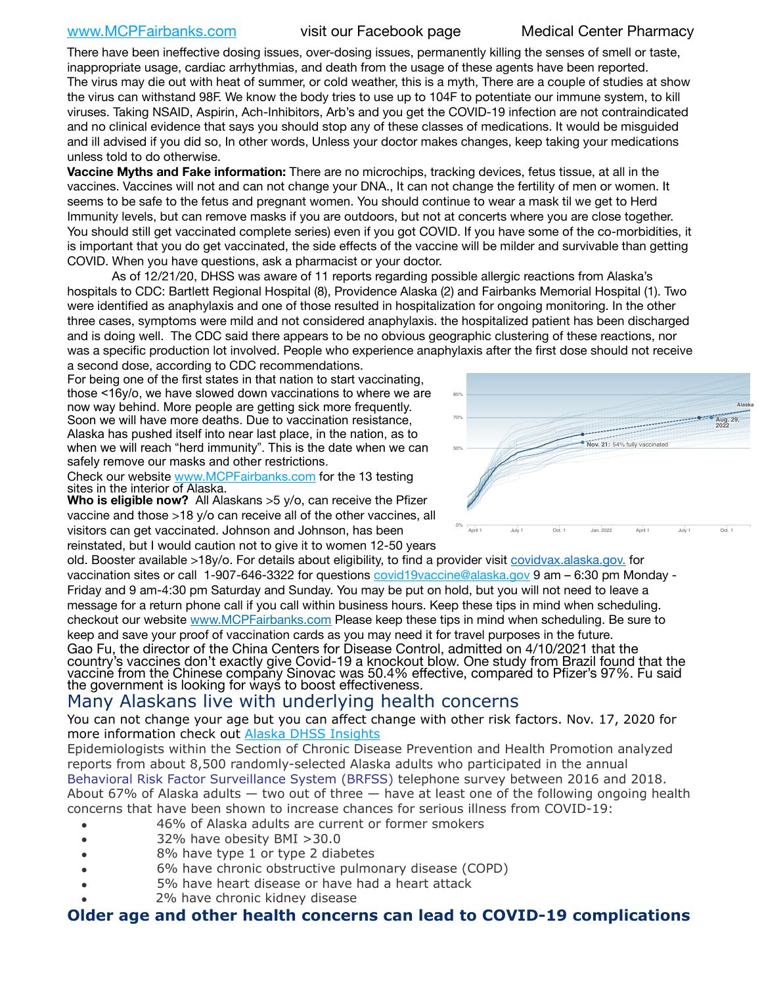[www.MCPFairbanks.com](http://www.MCPFairbanks.com) visit our Facebook page Medical Center Pharmacy

There have been ineffective dosing issues, over-dosing issues, permanently killing the senses of smell or taste, inappropriate usage, cardiac arrhythmias, and death from the usage of these agents have been reported. The virus may die out with heat of summer, or cold weather, this is a myth, There are a couple of studies at show the virus can withstand 98F. We know the body tries to use up to 104F to potentiate our immune system, to kill viruses. Taking NSAID, Aspirin, Ach-Inhibitors, Arb's and you get the COVID-19 infection are not contraindicated and no clinical evidence that says you should stop any of these classes of medications. It would be misguided and ill advised if you did so, In other words, Unless your doctor makes changes, keep taking your medications unless told to do otherwise.

**Vaccine Myths and Fake information:** There are no microchips, tracking devices, fetus tissue, at all in the vaccines. Vaccines will not and can not change your DNA., It can not change the fertility of men or women. It seems to be safe to the fetus and pregnant women. You should continue to wear a mask til we get to Herd Immunity levels, but can remove masks if you are outdoors, but not at concerts where you are close together. You should still get vaccinated complete series) even if you got COVID. If you have some of the co-morbidities, it is important that you do get vaccinated, the side effects of the vaccine will be milder and survivable than getting COVID. When you have questions, ask a pharmacist or your doctor.

As of 12/21/20, DHSS was aware of 11 reports regarding possible allergic reactions from Alaska's hospitals to CDC: Bartlett Regional Hospital (8), Providence Alaska (2) and Fairbanks Memorial Hospital (1). Two were identified as anaphylaxis and one of those resulted in hospitalization for ongoing monitoring. In the other three cases, symptoms were mild and not considered anaphylaxis. the hospitalized patient has been discharged and is doing well. The CDC said there appears to be no obvious geographic clustering of these reactions, nor was a specific production lot involved. People who experience anaphylaxis after the first dose should not receive a second dose, according to CDC recommendations. nng. me

For being one of the first states in that nation to start vaccinating, those <16y/o, we have slowed down vaccinations to where we are now way behind. More people are getting sick more frequently. Soon we will have more deaths. Due to vaccination resistance, Alaska has pushed itself into near last place, in the nation, as to when we will reach "herd immunity". This is the date when we can safely remove our masks and other restrictions.

Check our website [www.MCPFairbanks.com](http://www.MCPFairbanks.com) for the 13 testing sites in the interior of Alaska.

**Who is eligible now?** All Alaskans >5 y/o, can receive the Pfizer vaccine and those >18 y/o can receive all of the other vaccines, all visitors can get vaccinated. Johnson and Johnson, has been reinstated, but I would caution not to give it to women 12-50 years

old. Booster available >18y/o. For details about eligibility, to find a provider visit [covidvax.alaska.gov.](https://lnks.gd/l/eyJhbGciOiJIUzI1NiJ9.eyJidWxsZXRpbl9saW5rX2lkIjoxMDYsInVyaSI6ImJwMjpjbGljayIsImJ1bGxldGluX2lkIjoiMjAyMTAxMjguMzQwODU3NjEiLCJ1cmwiOiJodHRwOi8vZGhzcy5hbGFza2EuZ292L2RwaC9FcGkvaWQvUGFnZXMvQ09WSUQtMTkvdmFjY2luZS5hc3B4In0.-Xwhl42jAWOMS7ewfS85uxwrwjohCso3Sb81DuDKtxU/s/500544915/br/93796640171-l) for vaccination sites or call 1-907-646-3322 for questions *covid19vaccine@alaska.gov* 9 am – 6:30 pm Monday -Friday and 9 am-4:30 pm Saturday and Sunday. You may be put on hold, but you will not need to leave a message for a return phone call if you call within business hours. Keep these tips in mind when scheduling. checkout our website [www.MCPFairbanks.com](http://www.MCPFairbanks.com) Please keep these tips in mind when scheduling. Be sure to keep and save your proof of vaccination cards as you may need it for travel purposes in the future. Gao Fu, the director of the China Centers for Disease Control, admitted on 4/10/2021 that the country's vaccines don't exactly give Covid-19 a knockout blow. One study from Brazil found that the vaccine from the Chinese company Sinovac was 50.4% effective, compared to Pfizer's 97%. Fu said the government is looking for ways to boost effectiveness.

# Many Alaskans live with underlying health concerns

You can not change your age but you can affect change with other risk factors. Nov. 17, 2020 for more information check out [Alaska DHSS Insights](http://dhss.alaska.gov/dph/Epi/id/Pages/COVID-19/blog/20201117.aspx)

Epidemiologists within the Section of Chronic Disease Prevention and Health Promotion analyzed reports from about 8,500 randomly-selected Alaska adults who participated in the annual [Behavioral Risk Factor Surveillance System \(BRFSS\)](http://dhss.alaska.gov/dph/Chronic/Pages/brfss/default.aspx) telephone survey between 2016 and 2018. About 67% of Alaska adults — two out of three — have at least one of the following ongoing health concerns that have been shown to increase chances for serious illness from COVID-19:

- 46% of Alaska adults are current or former smokers
- 32% have obesity BMI >30.0
- 8% have type 1 or type 2 diabetes
- 6% have chronic obstructive pulmonary disease (COPD)
- 5% have heart disease or have had a heart attack
- 2% have chronic kidney disease

# **Older age and other health concerns can lead to COVID-19 complications**